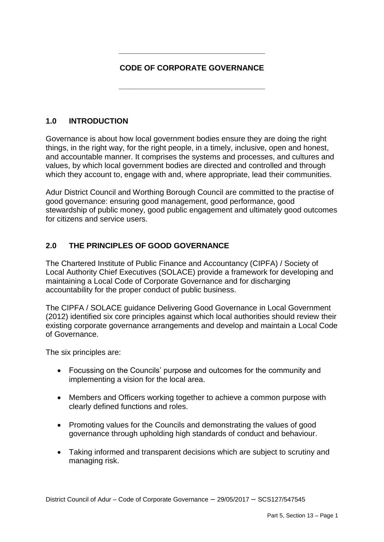# **CODE OF CORPORATE GOVERNANCE**

**\_\_\_\_\_\_\_\_\_\_\_\_\_\_\_\_\_\_\_\_\_\_\_\_\_\_\_\_\_\_\_\_\_\_**

**\_\_\_\_\_\_\_\_\_\_\_\_\_\_\_\_\_\_\_\_\_\_\_\_\_\_\_\_\_\_\_\_\_\_**

# **1.0 INTRODUCTION**

Governance is about how local government bodies ensure they are doing the right things, in the right way, for the right people, in a timely, inclusive, open and honest, and accountable manner. It comprises the systems and processes, and cultures and values, by which local government bodies are directed and controlled and through which they account to, engage with and, where appropriate, lead their communities.

Adur District Council and Worthing Borough Council are committed to the practise of good governance: ensuring good management, good performance, good stewardship of public money, good public engagement and ultimately good outcomes for citizens and service users.

# **2.0 THE PRINCIPLES OF GOOD GOVERNANCE**

The Chartered Institute of Public Finance and Accountancy (CIPFA) / Society of Local Authority Chief Executives (SOLACE) provide a framework for developing and maintaining a Local Code of Corporate Governance and for discharging accountability for the proper conduct of public business.

The CIPFA / SOLACE guidance Delivering Good Governance in Local Government (2012) identified six core principles against which local authorities should review their existing corporate governance arrangements and develop and maintain a Local Code of Governance.

The six principles are:

- Focussing on the Councils' purpose and outcomes for the community and implementing a vision for the local area.
- Members and Officers working together to achieve a common purpose with clearly defined functions and roles.
- Promoting values for the Councils and demonstrating the values of good governance through upholding high standards of conduct and behaviour.
- Taking informed and transparent decisions which are subject to scrutiny and managing risk.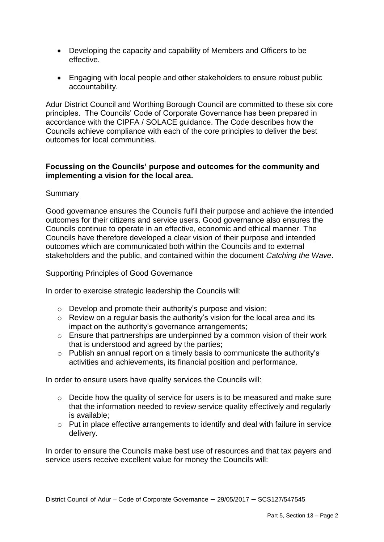- Developing the capacity and capability of Members and Officers to be effective.
- Engaging with local people and other stakeholders to ensure robust public accountability.

Adur District Council and Worthing Borough Council are committed to these six core principles. The Councils' Code of Corporate Governance has been prepared in accordance with the CIPFA / SOLACE guidance. The Code describes how the Councils achieve compliance with each of the core principles to deliver the best outcomes for local communities.

## **Focussing on the Councils' purpose and outcomes for the community and implementing a vision for the local area.**

## Summary

Good governance ensures the Councils fulfil their purpose and achieve the intended outcomes for their citizens and service users. Good governance also ensures the Councils continue to operate in an effective, economic and ethical manner. The Councils have therefore developed a clear vision of their purpose and intended outcomes which are communicated both within the Councils and to external stakeholders and the public, and contained within the document *Catching the Wave*.

#### Supporting Principles of Good Governance

In order to exercise strategic leadership the Councils will:

- o Develop and promote their authority's purpose and vision;
- $\circ$  Review on a regular basis the authority's vision for the local area and its impact on the authority's governance arrangements;
- $\circ$  Ensure that partnerships are underpinned by a common vision of their work that is understood and agreed by the parties;
- o Publish an annual report on a timely basis to communicate the authority's activities and achievements, its financial position and performance.

In order to ensure users have quality services the Councils will:

- o Decide how the quality of service for users is to be measured and make sure that the information needed to review service quality effectively and regularly is available;
- o Put in place effective arrangements to identify and deal with failure in service delivery.

In order to ensure the Councils make best use of resources and that tax payers and service users receive excellent value for money the Councils will: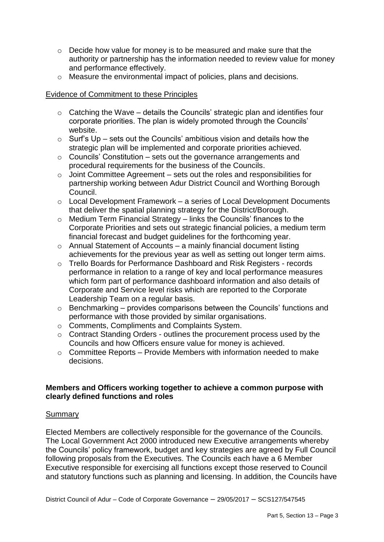- o Decide how value for money is to be measured and make sure that the authority or partnership has the information needed to review value for money and performance effectively.
- o Measure the environmental impact of policies, plans and decisions.

## Evidence of Commitment to these Principles

- o Catching the Wave details the Councils' strategic plan and identifies four corporate priorities. The plan is widely promoted through the Councils' website.
- $\circ$  Surf's Up sets out the Councils' ambitious vision and details how the strategic plan will be implemented and corporate priorities achieved.
- $\circ$  Councils' Constitution sets out the governance arrangements and procedural requirements for the business of the Councils.
- $\circ$  Joint Committee Agreement sets out the roles and responsibilities for partnership working between Adur District Council and Worthing Borough Council.
- o Local Development Framework a series of Local Development Documents that deliver the spatial planning strategy for the District/Borough.
- o Medium Term Financial Strategy links the Councils' finances to the Corporate Priorities and sets out strategic financial policies, a medium term financial forecast and budget guidelines for the forthcoming year.
- o Annual Statement of Accounts a mainly financial document listing achievements for the previous year as well as setting out longer term aims.
- o Trello Boards for Performance Dashboard and Risk Registers records performance in relation to a range of key and local performance measures which form part of performance dashboard information and also details of Corporate and Service level risks which are reported to the Corporate Leadership Team on a regular basis.
- o Benchmarking provides comparisons between the Councils' functions and performance with those provided by similar organisations.
- o Comments, Compliments and Complaints System.
- o Contract Standing Orders outlines the procurement process used by the Councils and how Officers ensure value for money is achieved.
- $\circ$  Committee Reports Provide Members with information needed to make decisions.

## **Members and Officers working together to achieve a common purpose with clearly defined functions and roles**

## Summary

Elected Members are collectively responsible for the governance of the Councils. The Local Government Act 2000 introduced new Executive arrangements whereby the Councils' policy framework, budget and key strategies are agreed by Full Council following proposals from the Executives. The Councils each have a 6 Member Executive responsible for exercising all functions except those reserved to Council and statutory functions such as planning and licensing. In addition, the Councils have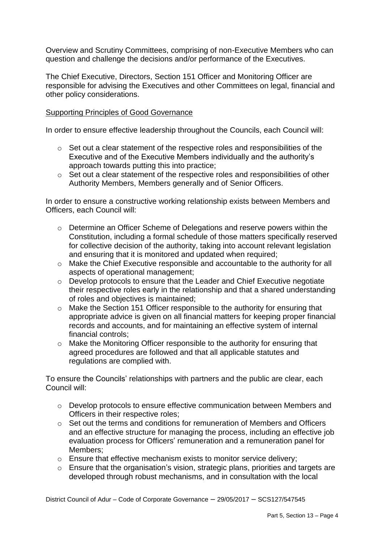Overview and Scrutiny Committees, comprising of non-Executive Members who can question and challenge the decisions and/or performance of the Executives.

The Chief Executive, Directors, Section 151 Officer and Monitoring Officer are responsible for advising the Executives and other Committees on legal, financial and other policy considerations.

# Supporting Principles of Good Governance

In order to ensure effective leadership throughout the Councils, each Council will:

- o Set out a clear statement of the respective roles and responsibilities of the Executive and of the Executive Members individually and the authority's approach towards putting this into practice;
- o Set out a clear statement of the respective roles and responsibilities of other Authority Members, Members generally and of Senior Officers.

In order to ensure a constructive working relationship exists between Members and Officers, each Council will:

- o Determine an Officer Scheme of Delegations and reserve powers within the Constitution, including a formal schedule of those matters specifically reserved for collective decision of the authority, taking into account relevant legislation and ensuring that it is monitored and updated when required;
- o Make the Chief Executive responsible and accountable to the authority for all aspects of operational management;
- o Develop protocols to ensure that the Leader and Chief Executive negotiate their respective roles early in the relationship and that a shared understanding of roles and objectives is maintained;
- o Make the Section 151 Officer responsible to the authority for ensuring that appropriate advice is given on all financial matters for keeping proper financial records and accounts, and for maintaining an effective system of internal financial controls;
- o Make the Monitoring Officer responsible to the authority for ensuring that agreed procedures are followed and that all applicable statutes and regulations are complied with.

To ensure the Councils' relationships with partners and the public are clear, each Council will:

- o Develop protocols to ensure effective communication between Members and Officers in their respective roles;
- o Set out the terms and conditions for remuneration of Members and Officers and an effective structure for managing the process, including an effective job evaluation process for Officers' remuneration and a remuneration panel for Members;
- o Ensure that effective mechanism exists to monitor service delivery;
- o Ensure that the organisation's vision, strategic plans, priorities and targets are developed through robust mechanisms, and in consultation with the local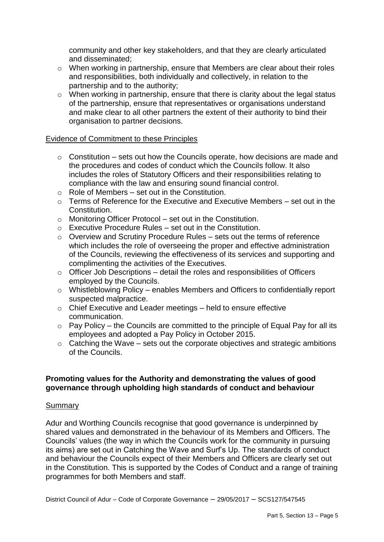community and other key stakeholders, and that they are clearly articulated and disseminated;

- o When working in partnership, ensure that Members are clear about their roles and responsibilities, both individually and collectively, in relation to the partnership and to the authority;
- o When working in partnership, ensure that there is clarity about the legal status of the partnership, ensure that representatives or organisations understand and make clear to all other partners the extent of their authority to bind their organisation to partner decisions.

#### Evidence of Commitment to these Principles

- $\circ$  Constitution sets out how the Councils operate, how decisions are made and the procedures and codes of conduct which the Councils follow. It also includes the roles of Statutory Officers and their responsibilities relating to compliance with the law and ensuring sound financial control.
- $\circ$  Role of Members set out in the Constitution.
- $\circ$  Terms of Reference for the Executive and Executive Members set out in the Constitution.
- o Monitoring Officer Protocol set out in the Constitution.
- $\circ$  Executive Procedure Rules set out in the Constitution.
- $\circ$  Overview and Scrutiny Procedure Rules sets out the terms of reference which includes the role of overseeing the proper and effective administration of the Councils, reviewing the effectiveness of its services and supporting and complimenting the activities of the Executives.
- $\circ$  Officer Job Descriptions detail the roles and responsibilities of Officers employed by the Councils.
- o Whistleblowing Policy enables Members and Officers to confidentially report suspected malpractice.
- o Chief Executive and Leader meetings held to ensure effective communication.
- $\circ$  Pay Policy the Councils are committed to the principle of Equal Pay for all its employees and adopted a Pay Policy in October 2015.
- $\circ$  Catching the Wave sets out the corporate objectives and strategic ambitions of the Councils.

## **Promoting values for the Authority and demonstrating the values of good governance through upholding high standards of conduct and behaviour**

#### Summary

Adur and Worthing Councils recognise that good governance is underpinned by shared values and demonstrated in the behaviour of its Members and Officers. The Councils' values (the way in which the Councils work for the community in pursuing its aims) are set out in Catching the Wave and Surf's Up. The standards of conduct and behaviour the Councils expect of their Members and Officers are clearly set out in the Constitution. This is supported by the Codes of Conduct and a range of training programmes for both Members and staff.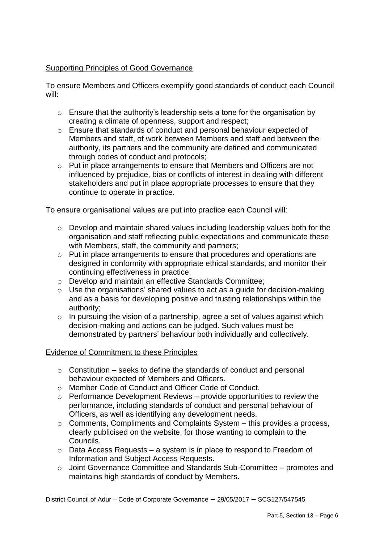# Supporting Principles of Good Governance

To ensure Members and Officers exemplify good standards of conduct each Council will:

- $\circ$  Ensure that the authority's leadership sets a tone for the organisation by creating a climate of openness, support and respect;
- o Ensure that standards of conduct and personal behaviour expected of Members and staff, of work between Members and staff and between the authority, its partners and the community are defined and communicated through codes of conduct and protocols;
- o Put in place arrangements to ensure that Members and Officers are not influenced by prejudice, bias or conflicts of interest in dealing with different stakeholders and put in place appropriate processes to ensure that they continue to operate in practice.

To ensure organisational values are put into practice each Council will:

- o Develop and maintain shared values including leadership values both for the organisation and staff reflecting public expectations and communicate these with Members, staff, the community and partners:
- o Put in place arrangements to ensure that procedures and operations are designed in conformity with appropriate ethical standards, and monitor their continuing effectiveness in practice;
- o Develop and maintain an effective Standards Committee;
- $\circ$  Use the organisations' shared values to act as a guide for decision-making and as a basis for developing positive and trusting relationships within the authority;
- $\circ$  In pursuing the vision of a partnership, agree a set of values against which decision-making and actions can be judged. Such values must be demonstrated by partners' behaviour both individually and collectively.

## Evidence of Commitment to these Principles

- $\circ$  Constitution seeks to define the standards of conduct and personal behaviour expected of Members and Officers.
- o Member Code of Conduct and Officer Code of Conduct.
- $\circ$  Performance Development Reviews provide opportunities to review the performance, including standards of conduct and personal behaviour of Officers, as well as identifying any development needs.
- o Comments, Compliments and Complaints System this provides a process, clearly publicised on the website, for those wanting to complain to the Councils.
- $\circ$  Data Access Requests a system is in place to respond to Freedom of Information and Subject Access Requests.
- o Joint Governance Committee and Standards Sub-Committee promotes and maintains high standards of conduct by Members.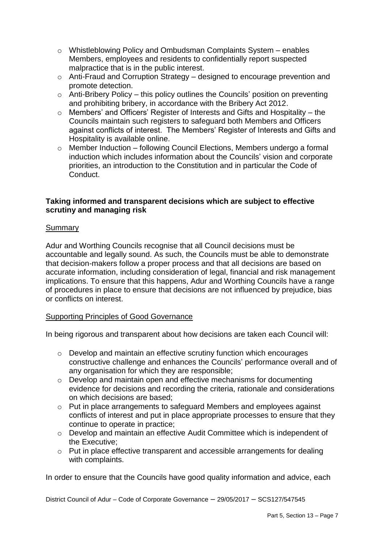- o Whistleblowing Policy and Ombudsman Complaints System enables Members, employees and residents to confidentially report suspected malpractice that is in the public interest.
- o Anti-Fraud and Corruption Strategy designed to encourage prevention and promote detection.
- o Anti-Bribery Policy this policy outlines the Councils' position on preventing and prohibiting bribery, in accordance with the Bribery Act 2012.
- o Members' and Officers' Register of Interests and Gifts and Hospitality the Councils maintain such registers to safeguard both Members and Officers against conflicts of interest. The Members' Register of Interests and Gifts and Hospitality is available online.
- o Member Induction following Council Elections, Members undergo a formal induction which includes information about the Councils' vision and corporate priorities, an introduction to the Constitution and in particular the Code of Conduct.

# **Taking informed and transparent decisions which are subject to effective scrutiny and managing risk**

# **Summary**

Adur and Worthing Councils recognise that all Council decisions must be accountable and legally sound. As such, the Councils must be able to demonstrate that decision-makers follow a proper process and that all decisions are based on accurate information, including consideration of legal, financial and risk management implications. To ensure that this happens, Adur and Worthing Councils have a range of procedures in place to ensure that decisions are not influenced by prejudice, bias or conflicts on interest.

## Supporting Principles of Good Governance

In being rigorous and transparent about how decisions are taken each Council will:

- o Develop and maintain an effective scrutiny function which encourages constructive challenge and enhances the Councils' performance overall and of any organisation for which they are responsible;
- o Develop and maintain open and effective mechanisms for documenting evidence for decisions and recording the criteria, rationale and considerations on which decisions are based;
- o Put in place arrangements to safeguard Members and employees against conflicts of interest and put in place appropriate processes to ensure that they continue to operate in practice;
- o Develop and maintain an effective Audit Committee which is independent of the Executive;
- o Put in place effective transparent and accessible arrangements for dealing with complaints.

In order to ensure that the Councils have good quality information and advice, each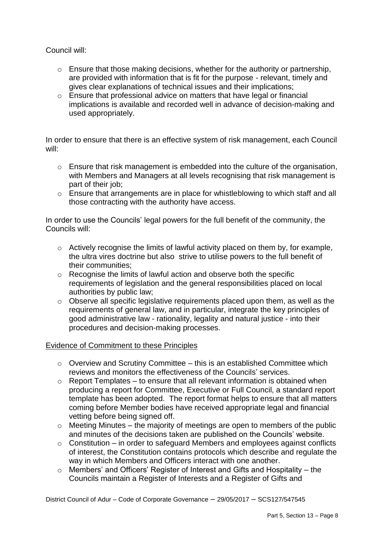Council will:

- $\circ$  Ensure that those making decisions, whether for the authority or partnership, are provided with information that is fit for the purpose - relevant, timely and gives clear explanations of technical issues and their implications;
- o Ensure that professional advice on matters that have legal or financial implications is available and recorded well in advance of decision-making and used appropriately.

In order to ensure that there is an effective system of risk management, each Council will:

- o Ensure that risk management is embedded into the culture of the organisation, with Members and Managers at all levels recognising that risk management is part of their job;
- o Ensure that arrangements are in place for whistleblowing to which staff and all those contracting with the authority have access.

In order to use the Councils' legal powers for the full benefit of the community, the Councils will:

- o Actively recognise the limits of lawful activity placed on them by, for example, the ultra vires doctrine but also strive to utilise powers to the full benefit of their communities;
- o Recognise the limits of lawful action and observe both the specific requirements of legislation and the general responsibilities placed on local authorities by public law;
- o Observe all specific legislative requirements placed upon them, as well as the requirements of general law, and in particular, integrate the key principles of good administrative law - rationality, legality and natural justice - into their procedures and decision-making processes.

## Evidence of Commitment to these Principles

- $\circ$  Overview and Scrutiny Committee this is an established Committee which reviews and monitors the effectiveness of the Councils' services.
- $\circ$  Report Templates to ensure that all relevant information is obtained when producing a report for Committee, Executive or Full Council, a standard report template has been adopted. The report format helps to ensure that all matters coming before Member bodies have received appropriate legal and financial vetting before being signed off.
- $\circ$  Meeting Minutes the majority of meetings are open to members of the public and minutes of the decisions taken are published on the Councils' website.
- $\circ$  Constitution in order to safeguard Members and employees against conflicts of interest, the Constitution contains protocols which describe and regulate the way in which Members and Officers interact with one another.
- o Members' and Officers' Register of Interest and Gifts and Hospitality the Councils maintain a Register of Interests and a Register of Gifts and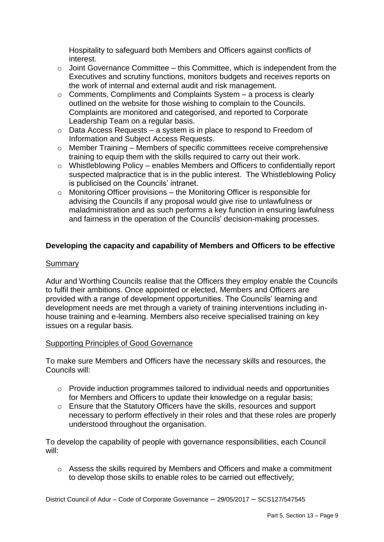Hospitality to safeguard both Members and Officers against conflicts of interest.

- $\circ$  Joint Governance Committee this Committee, which is independent from the Executives and scrutiny functions, monitors budgets and receives reports on the work of internal and external audit and risk management.
- $\circ$  Comments, Compliments and Complaints System a process is clearly outlined on the website for those wishing to complain to the Councils. Complaints are monitored and categorised, and reported to Corporate Leadership Team on a regular basis.
- $\circ$  Data Access Requests a system is in place to respond to Freedom of Information and Subject Access Requests.
- o Member Training Members of specific committees receive comprehensive training to equip them with the skills required to carry out their work.
- o Whistleblowing Policy enables Members and Officers to confidentially report suspected malpractice that is in the public interest. The Whistleblowing Policy is publicised on the Councils' intranet.
- o Monitoring Officer provisions the Monitoring Officer is responsible for advising the Councils if any proposal would give rise to unlawfulness or maladministration and as such performs a key function in ensuring lawfulness and fairness in the operation of the Councils' decision-making processes.

# **Developing the capacity and capability of Members and Officers to be effective**

# Summary

Adur and Worthing Councils realise that the Officers they employ enable the Councils to fulfil their ambitions. Once appointed or elected, Members and Officers are provided with a range of development opportunities. The Councils' learning and development needs are met through a variety of training interventions including inhouse training and e-learning. Members also receive specialised training on key issues on a regular basis.

## Supporting Principles of Good Governance

To make sure Members and Officers have the necessary skills and resources, the Councils will:

- $\circ$  Provide induction programmes tailored to individual needs and opportunities for Members and Officers to update their knowledge on a regular basis;
- o Ensure that the Statutory Officers have the skills, resources and support necessary to perform effectively in their roles and that these roles are properly understood throughout the organisation.

To develop the capability of people with governance responsibilities, each Council will:

o Assess the skills required by Members and Officers and make a commitment to develop those skills to enable roles to be carried out effectively;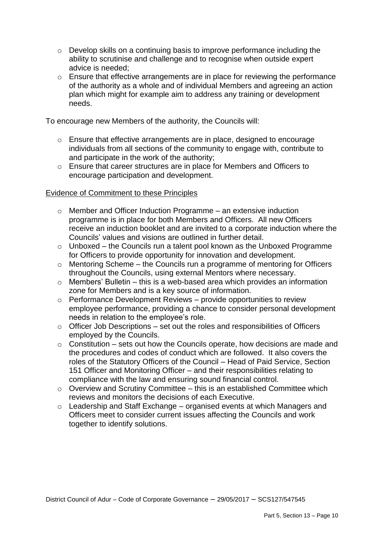- o Develop skills on a continuing basis to improve performance including the ability to scrutinise and challenge and to recognise when outside expert advice is needed;
- o Ensure that effective arrangements are in place for reviewing the performance of the authority as a whole and of individual Members and agreeing an action plan which might for example aim to address any training or development needs.

To encourage new Members of the authority, the Councils will:

- o Ensure that effective arrangements are in place, designed to encourage individuals from all sections of the community to engage with, contribute to and participate in the work of the authority;
- o Ensure that career structures are in place for Members and Officers to encourage participation and development.

#### Evidence of Commitment to these Principles

- $\circ$  Member and Officer Induction Programme an extensive induction programme is in place for both Members and Officers. All new Officers receive an induction booklet and are invited to a corporate induction where the Councils' values and visions are outlined in further detail.
- o Unboxed the Councils run a talent pool known as the Unboxed Programme for Officers to provide opportunity for innovation and development.
- $\circ$  Mentoring Scheme the Councils run a programme of mentoring for Officers throughout the Councils, using external Mentors where necessary.
- o Members' Bulletin this is a web-based area which provides an information zone for Members and is a key source of information.
- o Performance Development Reviews provide opportunities to review employee performance, providing a chance to consider personal development needs in relation to the employee's role.
- $\circ$  Officer Job Descriptions set out the roles and responsibilities of Officers employed by the Councils.
- $\circ$  Constitution sets out how the Councils operate, how decisions are made and the procedures and codes of conduct which are followed. It also covers the roles of the Statutory Officers of the Council – Head of Paid Service, Section 151 Officer and Monitoring Officer – and their responsibilities relating to compliance with the law and ensuring sound financial control.
- $\circ$  Overview and Scrutiny Committee this is an established Committee which reviews and monitors the decisions of each Executive.
- o Leadership and Staff Exchange organised events at which Managers and Officers meet to consider current issues affecting the Councils and work together to identify solutions.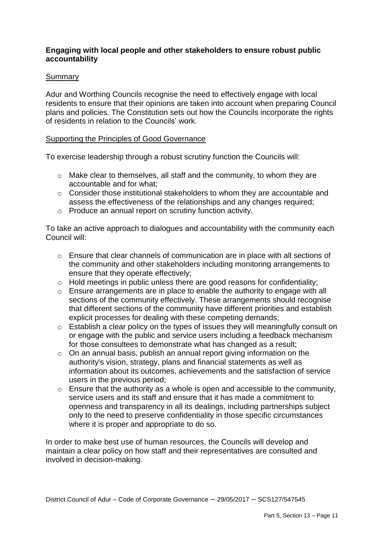# **Engaging with local people and other stakeholders to ensure robust public accountability**

## Summary

Adur and Worthing Councils recognise the need to effectively engage with local residents to ensure that their opinions are taken into account when preparing Council plans and policies. The Constitution sets out how the Councils incorporate the rights of residents in relation to the Councils' work.

#### Supporting the Principles of Good Governance

To exercise leadership through a robust scrutiny function the Councils will:

- o Make clear to themselves, all staff and the community, to whom they are accountable and for what;
- o Consider those institutional stakeholders to whom they are accountable and assess the effectiveness of the relationships and any changes required;
- o Produce an annual report on scrutiny function activity.

To take an active approach to dialogues and accountability with the community each Council will:

- o Ensure that clear channels of communication are in place with all sections of the community and other stakeholders including monitoring arrangements to ensure that they operate effectively;
- o Hold meetings in public unless there are good reasons for confidentiality;
- o Ensure arrangements are in place to enable the authority to engage with all sections of the community effectively. These arrangements should recognise that different sections of the community have different priorities and establish explicit processes for dealing with these competing demands;
- o Establish a clear policy on the types of issues they will meaningfully consult on or engage with the public and service users including a feedback mechanism for those consultees to demonstrate what has changed as a result;
- o On an annual basis, publish an annual report giving information on the authority's vision, strategy, plans and financial statements as well as information about its outcomes, achievements and the satisfaction of service users in the previous period;
- o Ensure that the authority as a whole is open and accessible to the community, service users and its staff and ensure that it has made a commitment to openness and transparency in all its dealings, including partnerships subject only to the need to preserve confidentiality in those specific circumstances where it is proper and appropriate to do so.

In order to make best use of human resources, the Councils will develop and maintain a clear policy on how staff and their representatives are consulted and involved in decision-making.